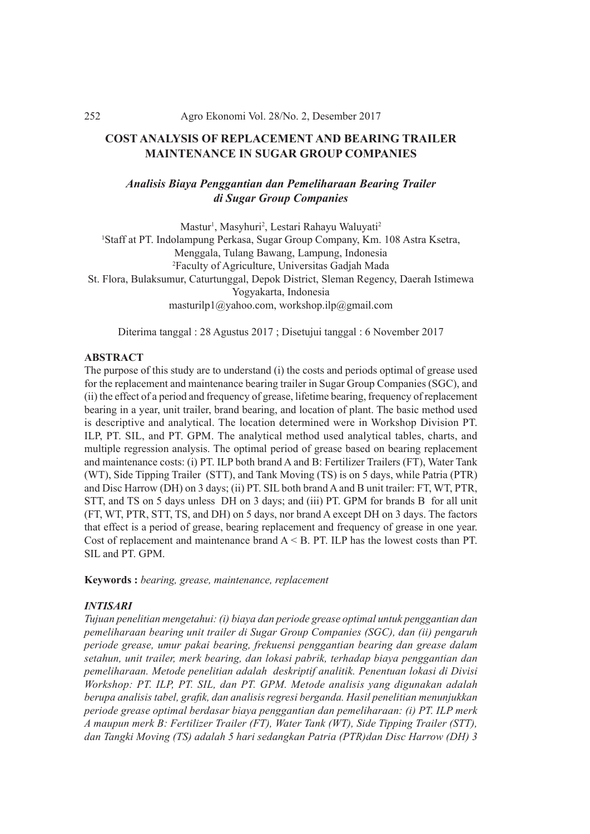#### 252 Agro Ekonomi Vol. 28/No. 2, Desember 2017

# **COST ANALYSIS OF REPLACEMENT AND BEARING TRAILER MAINTENANCE IN SUGAR GROUP COMPANIES**

# *Analisis Biaya Penggantian dan Pemeliharaan Bearing Trailer di Sugar Group Companies*

Mastur<sup>1</sup>, Masyhuri<sup>2</sup>, Lestari Rahayu Waluyati<sup>2</sup> 1 Staff at PT. Indolampung Perkasa, Sugar Group Company, Km. 108 Astra Ksetra, Menggala, Tulang Bawang, Lampung, Indonesia 2 Faculty of Agriculture, Universitas Gadjah Mada St. Flora, Bulaksumur, Caturtunggal, Depok District, Sleman Regency, Daerah Istimewa Yogyakarta, Indonesia masturilp1@yahoo.com, workshop.ilp@gmail.com

Diterima tanggal : 28 Agustus 2017 ; Disetujui tanggal : 6 November 2017

## **ABSTRACT**

The purpose of this study are to understand (i) the costs and periods optimal of grease used for the replacement and maintenance bearing trailer in Sugar Group Companies (SGC), and (ii) the effect of a period and frequency of grease, lifetime bearing, frequency of replacement bearing in a year, unit trailer, brand bearing, and location of plant. The basic method used is descriptive and analytical. The location determined were in Workshop Division PT. ILP, PT. SIL, and PT. GPM. The analytical method used analytical tables, charts, and multiple regression analysis. The optimal period of grease based on bearing replacement and maintenance costs: (i) PT. ILP both brand A and B: Fertilizer Trailers (FT), Water Tank (WT), Side Tipping Trailer (STT), and Tank Moving (TS) is on 5 days, while Patria (PTR) and Disc Harrow (DH) on 3 days; (ii) PT. SIL both brand A and B unit trailer: FT, WT, PTR, STT, and TS on 5 days unless DH on 3 days; and (iii) PT. GPM for brands B for all unit (FT, WT, PTR, STT, TS, and DH) on 5 days, nor brand A except DH on 3 days. The factors that effect is a period of grease, bearing replacement and frequency of grease in one year. Cost of replacement and maintenance brand  $A < B$ . PT. ILP has the lowest costs than PT. SIL and PT. GPM.

**Keywords :** *bearing, grease, maintenance, replacement*

#### *INTISARI*

*Tujuan penelitian mengetahui: (i) biaya dan periode grease optimal untuk penggantian dan pemeliharaan bearing unit trailer di Sugar Group Companies (SGC), dan (ii) pengaruh periode grease, umur pakai bearing, frekuensi penggantian bearing dan grease dalam setahun, unit trailer, merk bearing, dan lokasi pabrik, terhadap biaya penggantian dan pemeliharaan. Metode penelitian adalah deskriptif analitik. Penentuan lokasi di Divisi Workshop: PT. ILP, PT. SIL, dan PT. GPM. Metode analisis yang digunakan adalah berupa analisis tabel, grafik, dan analisis regresi berganda. Hasil penelitian menunjukkan periode grease optimal berdasar biaya penggantian dan pemeliharaan: (i) PT. ILP merk A maupun merk B: Fertilizer Trailer (FT), Water Tank (WT), Side Tipping Trailer (STT), dan Tangki Moving (TS) adalah 5 hari sedangkan Patria (PTR)dan Disc Harrow (DH) 3*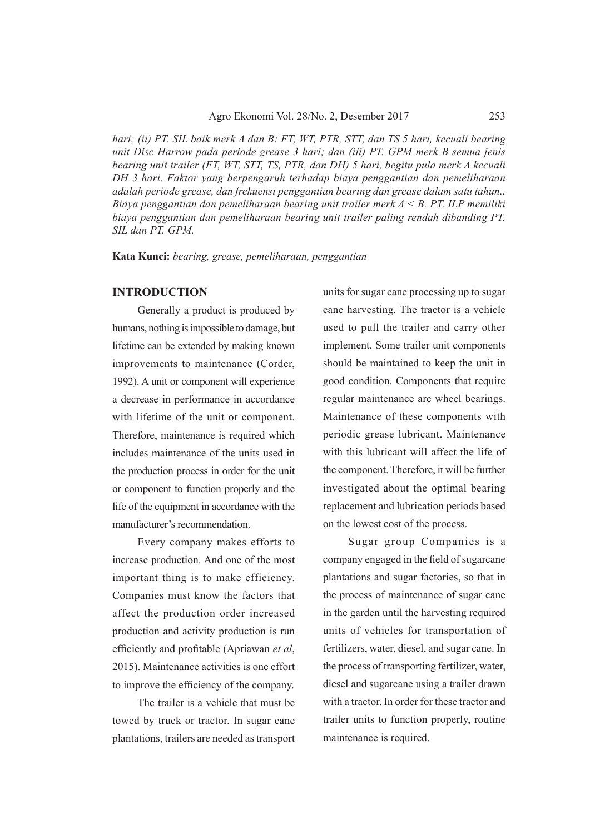*hari; (ii) PT. SIL baik merk A dan B: FT, WT, PTR, STT, dan TS 5 hari, kecuali bearing unit Disc Harrow pada periode grease 3 hari; dan (iii) PT. GPM merk B semua jenis bearing unit trailer (FT, WT, STT, TS, PTR, dan DH) 5 hari, begitu pula merk A kecuali DH 3 hari. Faktor yang berpengaruh terhadap biaya penggantian dan pemeliharaan adalah periode grease, dan frekuensi penggantian bearing dan grease dalam satu tahun.. Biaya penggantian dan pemeliharaan bearing unit trailer merk A < B. PT. ILP memiliki biaya penggantian dan pemeliharaan bearing unit trailer paling rendah dibanding PT. SIL dan PT. GPM.*

**Kata Kunci:** *bearing, grease, pemeliharaan, penggantian*

#### **INTRODUCTION**

Generally a product is produced by humans, nothing is impossible to damage, but lifetime can be extended by making known improvements to maintenance (Corder, 1992). A unit or component will experience a decrease in performance in accordance with lifetime of the unit or component. Therefore, maintenance is required which includes maintenance of the units used in the production process in order for the unit or component to function properly and the life of the equipment in accordance with the manufacturer's recommendation.

Every company makes efforts to increase production. And one of the most important thing is to make efficiency. Companies must know the factors that affect the production order increased production and activity production is run efficiently and profitable (Apriawan *et al*, 2015). Maintenance activities is one effort to improve the efficiency of the company.

The trailer is a vehicle that must be towed by truck or tractor. In sugar cane plantations, trailers are needed as transport units for sugar cane processing up to sugar cane harvesting. The tractor is a vehicle used to pull the trailer and carry other implement. Some trailer unit components should be maintained to keep the unit in good condition. Components that require regular maintenance are wheel bearings. Maintenance of these components with periodic grease lubricant. Maintenance with this lubricant will affect the life of the component. Therefore, it will be further investigated about the optimal bearing replacement and lubrication periods based on the lowest cost of the process.

Sugar group Companies is a company engaged in the field of sugarcane plantations and sugar factories, so that in the process of maintenance of sugar cane in the garden until the harvesting required units of vehicles for transportation of fertilizers, water, diesel, and sugar cane. In the process of transporting fertilizer, water, diesel and sugarcane using a trailer drawn with a tractor. In order for these tractor and trailer units to function properly, routine maintenance is required.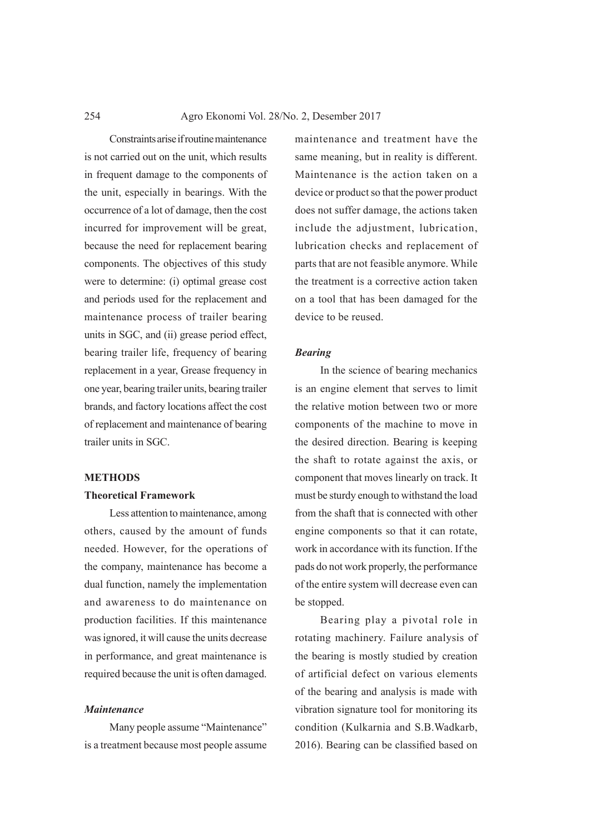Constraints arise if routine maintenance is not carried out on the unit, which results in frequent damage to the components of the unit, especially in bearings. With the occurrence of a lot of damage, then the cost incurred for improvement will be great, because the need for replacement bearing components. The objectives of this study were to determine: (i) optimal grease cost and periods used for the replacement and maintenance process of trailer bearing units in SGC, and (ii) grease period effect, bearing trailer life, frequency of bearing replacement in a year, Grease frequency in one year, bearing trailer units, bearing trailer brands, and factory locations affect the cost of replacement and maintenance of bearing trailer units in SGC.

#### **METHODS**

#### **Theoretical Framework**

Less attention to maintenance, among others, caused by the amount of funds needed. However, for the operations of the company, maintenance has become a dual function, namely the implementation and awareness to do maintenance on production facilities. If this maintenance was ignored, it will cause the units decrease in performance, and great maintenance is required because the unit is often damaged.

# *Maintenance*

Many people assume "Maintenance" is a treatment because most people assume

maintenance and treatment have the same meaning, but in reality is different. Maintenance is the action taken on a device or product so that the power product does not suffer damage, the actions taken include the adjustment, lubrication, lubrication checks and replacement of parts that are not feasible anymore. While the treatment is a corrective action taken on a tool that has been damaged for the device to be reused.

#### *Bearing*

In the science of bearing mechanics is an engine element that serves to limit the relative motion between two or more components of the machine to move in the desired direction. Bearing is keeping the shaft to rotate against the axis, or component that moves linearly on track. It must be sturdy enough to withstand the load from the shaft that is connected with other engine components so that it can rotate, work in accordance with its function. If the pads do not work properly, the performance of the entire system will decrease even can be stopped.

Bearing play a pivotal role in rotating machinery. Failure analysis of the bearing is mostly studied by creation of artificial defect on various elements of the bearing and analysis is made with vibration signature tool for monitoring its condition (Kulkarnia and S.B.Wadkarb, 2016). Bearing can be classified based on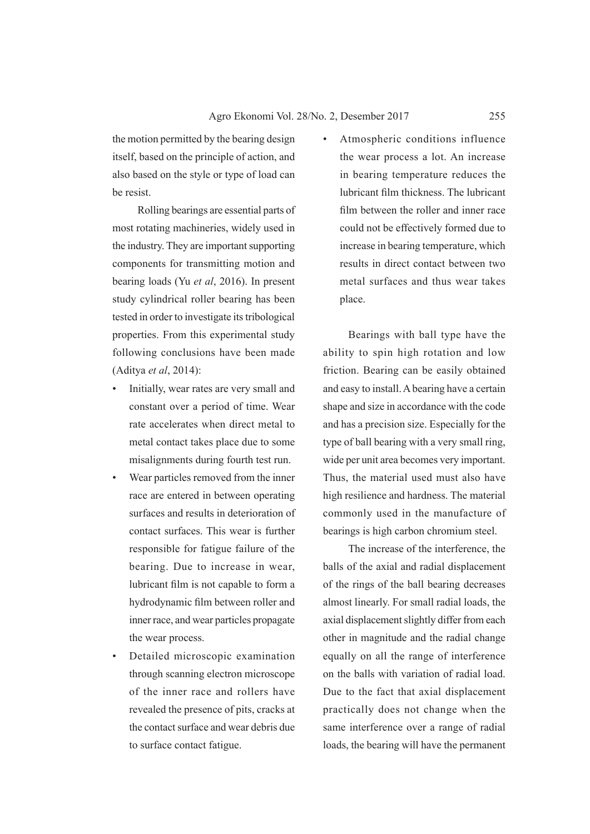the motion permitted by the bearing design itself, based on the principle of action, and also based on the style or type of load can be resist.

Rolling bearings are essential parts of most rotating machineries, widely used in the industry. They are important supporting components for transmitting motion and bearing loads (Yu *et al*, 2016). In present study cylindrical roller bearing has been tested in order to investigate its tribological properties. From this experimental study following conclusions have been made (Aditya *et al*, 2014):

- Initially, wear rates are very small and constant over a period of time. Wear rate accelerates when direct metal to metal contact takes place due to some misalignments during fourth test run.
- Wear particles removed from the inner race are entered in between operating surfaces and results in deterioration of contact surfaces. This wear is further responsible for fatigue failure of the bearing. Due to increase in wear, lubricant film is not capable to form a hydrodynamic film between roller and inner race, and wear particles propagate the wear process.
- Detailed microscopic examination through scanning electron microscope of the inner race and rollers have revealed the presence of pits, cracks at the contact surface and wear debris due to surface contact fatigue.

Atmospheric conditions influence the wear process a lot. An increase in bearing temperature reduces the lubricant film thickness. The lubricant film between the roller and inner race could not be effectively formed due to increase in bearing temperature, which results in direct contact between two metal surfaces and thus wear takes place.

Bearings with ball type have the ability to spin high rotation and low friction. Bearing can be easily obtained and easy to install. A bearing have a certain shape and size in accordance with the code and has a precision size. Especially for the type of ball bearing with a very small ring, wide per unit area becomes very important. Thus, the material used must also have high resilience and hardness. The material commonly used in the manufacture of bearings is high carbon chromium steel.

The increase of the interference, the balls of the axial and radial displacement of the rings of the ball bearing decreases almost linearly. For small radial loads, the axial displacement slightly differ from each other in magnitude and the radial change equally on all the range of interference on the balls with variation of radial load. Due to the fact that axial displacement practically does not change when the same interference over a range of radial loads, the bearing will have the permanent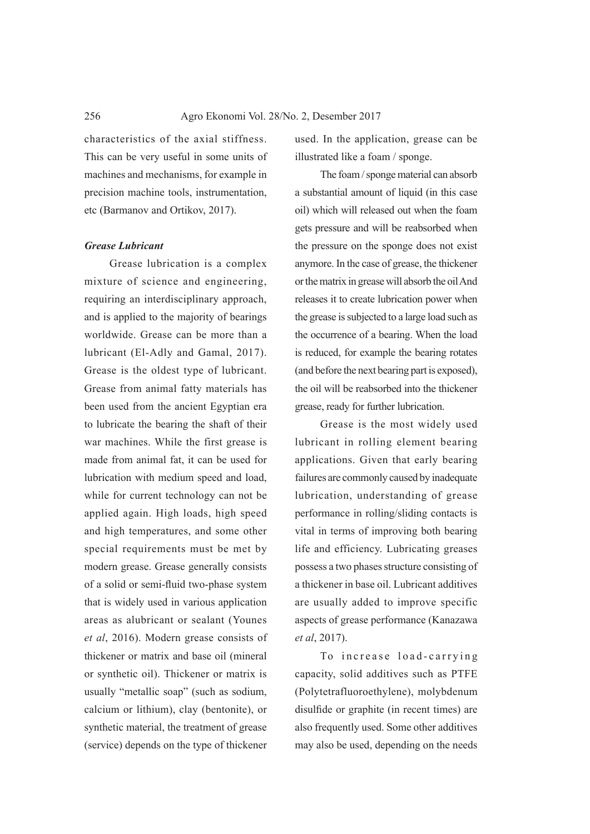characteristics of the axial stiffness. This can be very useful in some units of machines and mechanisms, for example in precision machine tools, instrumentation, etc (Barmanov and Ortikov, 2017).

#### *Grease Lubricant*

Grease lubrication is a complex mixture of science and engineering, requiring an interdisciplinary approach, and is applied to the majority of bearings worldwide. Grease can be more than a lubricant (El-Adly and Gamal, 2017). Grease is the oldest type of lubricant. Grease from animal fatty materials has been used from the ancient Egyptian era to lubricate the bearing the shaft of their war machines. While the first grease is made from animal fat, it can be used for lubrication with medium speed and load, while for current technology can not be applied again. High loads, high speed and high temperatures, and some other special requirements must be met by modern grease. Grease generally consists of a solid or semi-fluid two-phase system that is widely used in various application areas as alubricant or sealant (Younes *et al*, 2016). Modern grease consists of thickener or matrix and base oil (mineral or synthetic oil). Thickener or matrix is usually "metallic soap" (such as sodium, calcium or lithium), clay (bentonite), or synthetic material, the treatment of grease (service) depends on the type of thickener

used. In the application, grease can be illustrated like a foam / sponge.

The foam / sponge material can absorb a substantial amount of liquid (in this case oil) which will released out when the foam gets pressure and will be reabsorbed when the pressure on the sponge does not exist anymore. In the case of grease, the thickener or the matrix in grease will absorb the oil And releases it to create lubrication power when the grease is subjected to a large load such as the occurrence of a bearing. When the load is reduced, for example the bearing rotates (and before the next bearing part is exposed), the oil will be reabsorbed into the thickener grease, ready for further lubrication.

Grease is the most widely used lubricant in rolling element bearing applications. Given that early bearing failures are commonly caused by inadequate lubrication, understanding of grease performance in rolling/sliding contacts is vital in terms of improving both bearing life and efficiency. Lubricating greases possess a two phases structure consisting of a thickener in base oil. Lubricant additives are usually added to improve specific aspects of grease performance (Kanazawa *et al*, 2017).

To increase load-carrying capacity, solid additives such as PTFE (Polytetrafluoroethylene), molybdenum disulfide or graphite (in recent times) are also frequently used. Some other additives may also be used, depending on the needs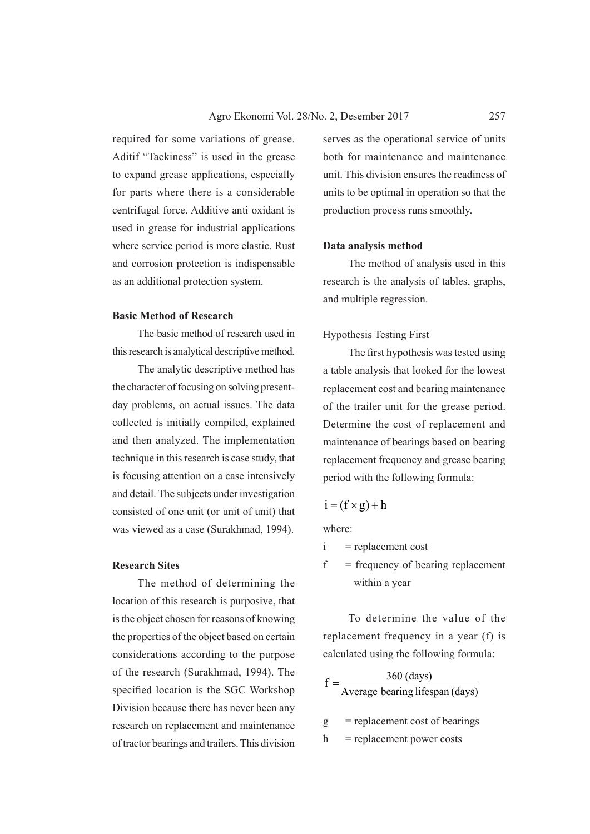required for some variations of grease. Aditif "Tackiness" is used in the grease to expand grease applications, especially for parts where there is a considerable centrifugal force. Additive anti oxidant is used in grease for industrial applications where service period is more elastic. Rust and corrosion protection is indispensable as an additional protection system.

### **Basic Method of Research**

The basic method of research used in this research is analytical descriptive method.

The analytic descriptive method has the character of focusing on solving presentday problems, on actual issues. The data collected is initially compiled, explained and then analyzed. The implementation technique in this research is case study, that is focusing attention on a case intensively and detail. The subjects under investigation consisted of one unit (or unit of unit) that was viewed as a case (Surakhmad, 1994).

#### **Research Sites**

The method of determining the location of this research is purposive, that is the object chosen for reasons of knowing the properties of the object based on certain considerations according to the purpose of the research (Surakhmad, 1994). The specified location is the SGC Workshop Division because there has never been any research on replacement and maintenance of tractor bearings and trailers. This division

serves as the operational service of units both for maintenance and maintenance unit. This division ensures the readiness of units to be optimal in operation so that the production process runs smoothly.

#### **Data analysis method**

The method of analysis used in this research is the analysis of tables, graphs, and multiple regression.

### Hypothesis Testing First

The first hypothesis was tested using a table analysis that looked for the lowest replacement cost and bearing maintenance of the trailer unit for the grease period. Determine the cost of replacement and maintenance of bearings based on bearing replacement frequency and grease bearing period with the following formula:

$$
i = (f \times g) + h
$$

where:

- $i$  = replacement cost
- $f = \text{frequency of bearing replacement}$ within a year

To determine the value of the replacement frequency in a year (f) is calculated using the following formula:

|   | $360$ (days)                     |
|---|----------------------------------|
|   | Average bearing lifespan (days)  |
| g | $=$ replacement cost of bearings |
| h | = replacement power costs        |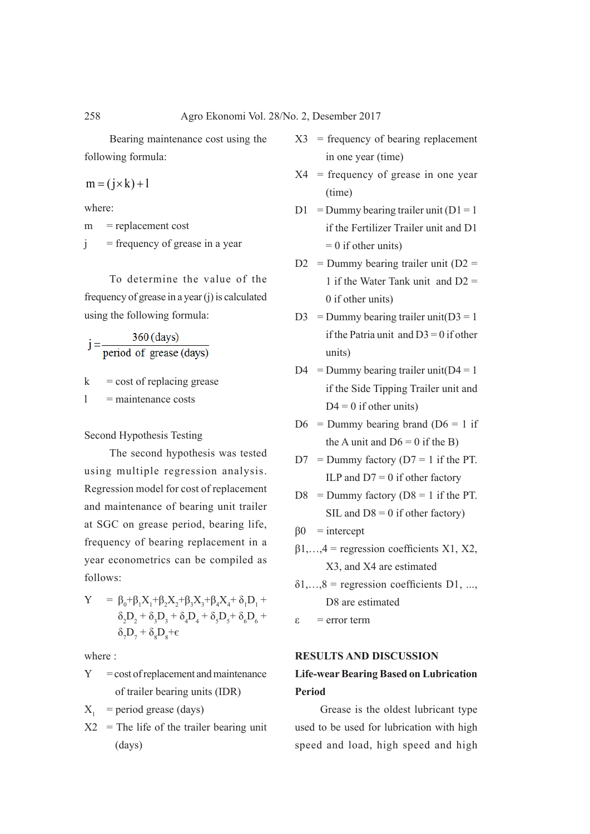Bearing maintenance cost using the following formula:

$$
m = (j \times k) + l
$$

where:

m = replacement cost

 $j$  = frequency of grease in a year

To determine the value of the frequency of grease in a year (j) is calculated using the following formula:

360 (days)  $j= \frac{1}{\text{period of } \text{grease (days)}}$ 

 $k = \text{cost of replacing grease}$ 

 $l$  = maintenance costs

Second Hypothesis Testing

The second hypothesis was tested using multiple regression analysis. Regression model for cost of replacement and maintenance of bearing unit trailer at SGC on grease period, bearing life, frequency of bearing replacement in a year econometrics can be compiled as follows:

$$
\begin{array}{ll} Y & = \beta_0 + \beta_1 X_1 + \beta_2 X_2 + \beta_3 X_3 + \beta_4 X_4 + \delta_1 D_1 + \\ & \delta_2 D_2 + \delta_3 D_3 + \delta_4 D_4 + \delta_5 D_5 + \delta_6 D_6 + \\ & \delta_7 D_7 + \delta_8 D_8 + \varepsilon \end{array}
$$

where :

 $Y = \text{cost of replacement and maintenance}$ of trailer bearing units (IDR)

 $X_1$  = period grease (days)

 $X2 =$ The life of the trailer bearing unit (days)

- $X3$  = frequency of bearing replacement in one year (time)
- $X4$  = frequency of grease in one year (time)
- $D1 =$ Dummy bearing trailer unit ( $D1 = 1$ if the Fertilizer Trailer unit and D1  $= 0$  if other units)
- $D2$  = Dummy bearing trailer unit ( $D2$  = 1 if the Water Tank unit and D2 = 0 if other units)
- D3 = Dummy bearing trailer unit  $(D3 = 1$ if the Patria unit and  $D3 = 0$  if other units)
- $D4 =$ Dummy bearing trailer unit( $D4 = 1$ if the Side Tipping Trailer unit and  $D4 = 0$  if other units)
- $D6$  = Dummy bearing brand ( $D6$  = 1 if the A unit and  $D6 = 0$  if the B)
- $D7 =$  Dummy factory ( $D7 = 1$  if the PT. ILP and  $D7 = 0$  if other factory
- $D8$  = Dummy factory ( $D8$  = 1 if the PT. SIL and  $D8 = 0$  if other factory)
- $\beta 0$  = intercept
- $\beta$ 1,...,4 = regression coefficients X1, X2, X3, and X4 are estimated
- $\delta1, \ldots, \delta$  = regression coefficients D1, ..., D8 are estimated
- ε = error term

### **RESULTS AND DISCUSSION**

# **Life-wear Bearing Based on Lubrication Period**

Grease is the oldest lubricant type used to be used for lubrication with high speed and load, high speed and high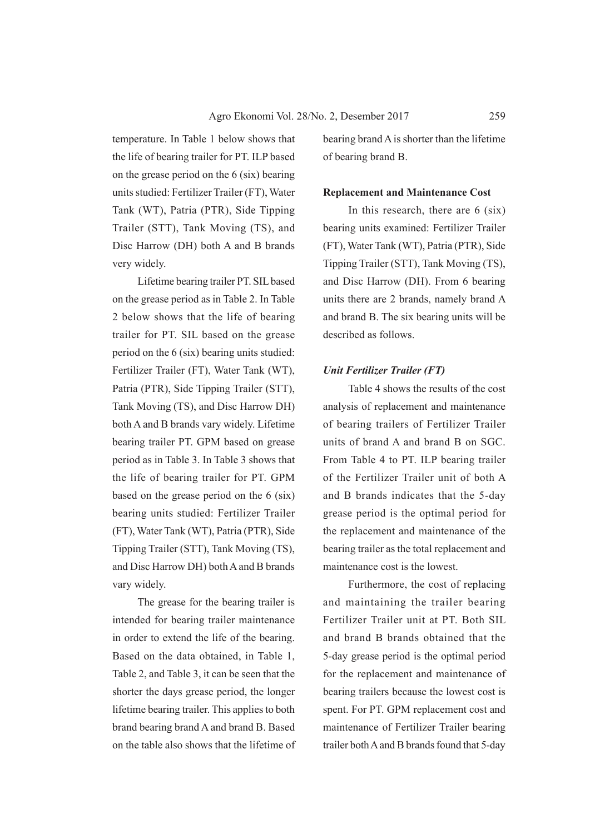temperature. In Table 1 below shows that the life of bearing trailer for PT. ILP based on the grease period on the 6 (six) bearing units studied: Fertilizer Trailer (FT), Water Tank (WT), Patria (PTR), Side Tipping Trailer (STT), Tank Moving (TS), and Disc Harrow (DH) both A and B brands very widely.

Lifetime bearing trailer PT. SIL based on the grease period as in Table 2. In Table 2 below shows that the life of bearing trailer for PT. SIL based on the grease period on the 6 (six) bearing units studied: Fertilizer Trailer (FT), Water Tank (WT), Patria (PTR), Side Tipping Trailer (STT), Tank Moving (TS), and Disc Harrow DH) both A and B brands vary widely. Lifetime bearing trailer PT. GPM based on grease period as in Table 3. In Table 3 shows that the life of bearing trailer for PT. GPM based on the grease period on the 6 (six) bearing units studied: Fertilizer Trailer (FT), Water Tank (WT), Patria (PTR), Side Tipping Trailer (STT), Tank Moving (TS), and Disc Harrow DH) both A and B brands vary widely.

The grease for the bearing trailer is intended for bearing trailer maintenance in order to extend the life of the bearing. Based on the data obtained, in Table 1, Table 2, and Table 3, it can be seen that the shorter the days grease period, the longer lifetime bearing trailer. This applies to both brand bearing brand A and brand B. Based on the table also shows that the lifetime of bearing brand A is shorter than the lifetime of bearing brand B.

#### **Replacement and Maintenance Cost**

In this research, there are 6 (six) bearing units examined: Fertilizer Trailer (FT), Water Tank (WT), Patria (PTR), Side Tipping Trailer (STT), Tank Moving (TS), and Disc Harrow (DH). From 6 bearing units there are 2 brands, namely brand A and brand B. The six bearing units will be described as follows.

#### *Unit Fertilizer Trailer (FT)*

Table 4 shows the results of the cost analysis of replacement and maintenance of bearing trailers of Fertilizer Trailer units of brand A and brand B on SGC. From Table 4 to PT. ILP bearing trailer of the Fertilizer Trailer unit of both A and B brands indicates that the 5-day grease period is the optimal period for the replacement and maintenance of the bearing trailer as the total replacement and maintenance cost is the lowest.

Furthermore, the cost of replacing and maintaining the trailer bearing Fertilizer Trailer unit at PT. Both SIL and brand B brands obtained that the 5-day grease period is the optimal period for the replacement and maintenance of bearing trailers because the lowest cost is spent. For PT. GPM replacement cost and maintenance of Fertilizer Trailer bearing trailer both A and B brands found that 5-day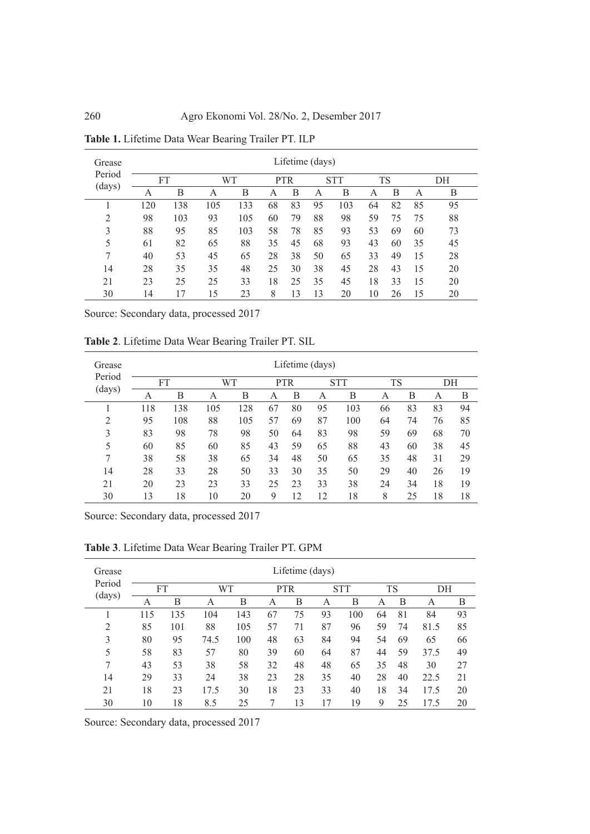| Grease         | Lifetime (days) |     |     |                                |    |           |    |     |    |    |    |    |
|----------------|-----------------|-----|-----|--------------------------------|----|-----------|----|-----|----|----|----|----|
| Period         | FT              |     |     | WТ<br><b>STT</b><br><b>PTR</b> |    | <b>TS</b> |    | DH  |    |    |    |    |
| (days)         | А               | В   | А   | B                              | А  | В         | А  | В   | A  | B  | А  | B  |
|                | 120             | 138 | 105 | 133                            | 68 | 83        | 95 | 103 | 64 | 82 | 85 | 95 |
| $\overline{2}$ | 98              | 103 | 93  | 105                            | 60 | 79        | 88 | 98  | 59 | 75 | 75 | 88 |
| 3              | 88              | 95  | 85  | 103                            | 58 | 78        | 85 | 93  | 53 | 69 | 60 | 73 |
| 5              | 61              | 82  | 65  | 88                             | 35 | 45        | 68 | 93  | 43 | 60 | 35 | 45 |
| 7              | 40              | 53  | 45  | 65                             | 28 | 38        | 50 | 65  | 33 | 49 | 15 | 28 |
| 14             | 28              | 35  | 35  | 48                             | 25 | 30        | 38 | 45  | 28 | 43 | 15 | 20 |
| 21             | 23              | 25  | 25  | 33                             | 18 | 25        | 35 | 45  | 18 | 33 | 15 | 20 |
| 30             | 14              | 17  | 15  | 23                             | 8  | 13        | 13 | 20  | 10 | 26 | 15 | 20 |

**Table 1.** Lifetime Data Wear Bearing Trailer PT. ILP

**Table 2**. Lifetime Data Wear Bearing Trailer PT. SIL

| Grease         | Lifetime (days) |     |     |     |            |    |    |            |    |    |    |    |
|----------------|-----------------|-----|-----|-----|------------|----|----|------------|----|----|----|----|
| Period         | <b>FT</b>       |     |     | WT  | <b>PTR</b> |    |    | <b>STT</b> | TS |    | DH |    |
| (days)         | А               | В   | А   | B   | А          | В  | А  | B          | A  | B  | A  | B  |
|                | 118             | 138 | 105 | 128 | 67         | 80 | 95 | 103        | 66 | 83 | 83 | 94 |
| $\overline{2}$ | 95              | 108 | 88  | 105 | 57         | 69 | 87 | 100        | 64 | 74 | 76 | 85 |
| 3              | 83              | 98  | 78  | 98  | 50         | 64 | 83 | 98         | 59 | 69 | 68 | 70 |
| 5              | 60              | 85  | 60  | 85  | 43         | 59 | 65 | 88         | 43 | 60 | 38 | 45 |
| 7              | 38              | 58  | 38  | 65  | 34         | 48 | 50 | 65         | 35 | 48 | 31 | 29 |
| 14             | 28              | 33  | 28  | 50  | 33         | 30 | 35 | 50         | 29 | 40 | 26 | 19 |
| 21             | 20              | 23  | 23  | 33  | 25         | 23 | 33 | 38         | 24 | 34 | 18 | 19 |
| 30             | 13              | 18  | 10  | 20  | 9          | 12 | 12 | 18         | 8  | 25 | 18 | 18 |

Source: Secondary data, processed 2017

**Table 3**. Lifetime Data Wear Bearing Trailer PT. GPM

| Grease           | Lifetime (days) |     |      |     |            |    |    |            |    |    |      |    |
|------------------|-----------------|-----|------|-----|------------|----|----|------------|----|----|------|----|
| Period<br>(days) | FT              |     | WT   |     | <b>PTR</b> |    |    | <b>STT</b> | TS |    | DH   |    |
|                  | А               | В   | А    | В   | А          | В  | А  | В          | A  | B  | А    | В  |
|                  | 115             | 135 | 104  | 143 | 67         | 75 | 93 | 100        | 64 | 81 | 84   | 93 |
| $\overline{2}$   | 85              | 101 | 88   | 105 | 57         | 71 | 87 | 96         | 59 | 74 | 81.5 | 85 |
| 3                | 80              | 95  | 74.5 | 100 | 48         | 63 | 84 | 94         | 54 | 69 | 65   | 66 |
| 5                | 58              | 83  | 57   | 80  | 39         | 60 | 64 | 87         | 44 | 59 | 37.5 | 49 |
| 7                | 43              | 53  | 38   | 58  | 32         | 48 | 48 | 65         | 35 | 48 | 30   | 27 |
| 14               | 29              | 33  | 24   | 38  | 23         | 28 | 35 | 40         | 28 | 40 | 22.5 | 21 |
| 21               | 18              | 23  | 17.5 | 30  | 18         | 23 | 33 | 40         | 18 | 34 | 17.5 | 20 |
| 30               | 10              | 18  | 8.5  | 25  |            | 13 | 17 | 19         | 9  | 25 | 17.5 | 20 |

Source: Secondary data, processed 2017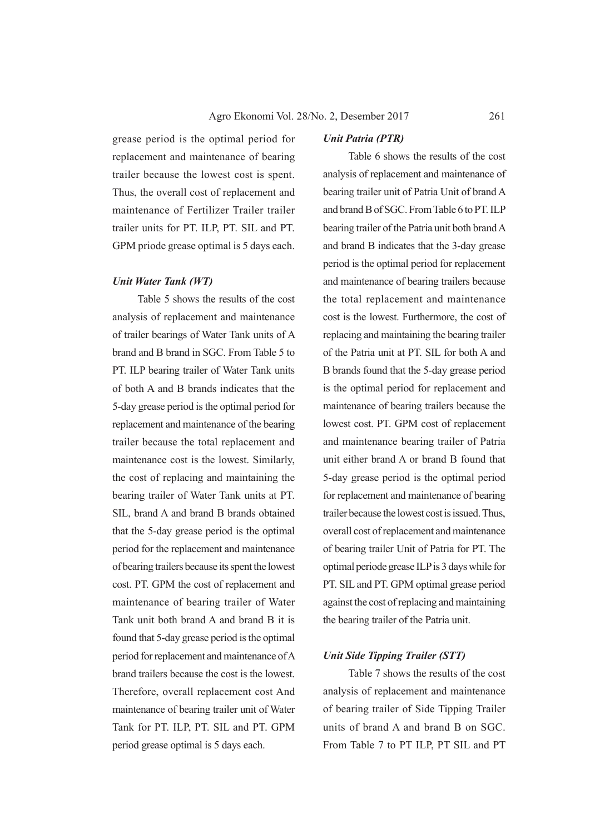grease period is the optimal period for replacement and maintenance of bearing trailer because the lowest cost is spent. Thus, the overall cost of replacement and maintenance of Fertilizer Trailer trailer trailer units for PT. ILP, PT. SIL and PT. GPM priode grease optimal is 5 days each.

#### *Unit Water Tank (WT)*

Table 5 shows the results of the cost analysis of replacement and maintenance of trailer bearings of Water Tank units of A brand and B brand in SGC. From Table 5 to PT. ILP bearing trailer of Water Tank units of both A and B brands indicates that the 5-day grease period is the optimal period for replacement and maintenance of the bearing trailer because the total replacement and maintenance cost is the lowest. Similarly, the cost of replacing and maintaining the bearing trailer of Water Tank units at PT. SIL, brand A and brand B brands obtained that the 5-day grease period is the optimal period for the replacement and maintenance of bearing trailers because its spent the lowest cost. PT. GPM the cost of replacement and maintenance of bearing trailer of Water Tank unit both brand A and brand B it is found that 5-day grease period is the optimal period for replacement and maintenance of A brand trailers because the cost is the lowest. Therefore, overall replacement cost And maintenance of bearing trailer unit of Water Tank for PT. ILP, PT. SIL and PT. GPM period grease optimal is 5 days each.

### *Unit Patria (PTR)*

Table 6 shows the results of the cost analysis of replacement and maintenance of bearing trailer unit of Patria Unit of brand A and brand B of SGC. From Table 6 to PT. ILP bearing trailer of the Patria unit both brand A and brand B indicates that the 3-day grease period is the optimal period for replacement and maintenance of bearing trailers because the total replacement and maintenance cost is the lowest. Furthermore, the cost of replacing and maintaining the bearing trailer of the Patria unit at PT. SIL for both A and B brands found that the 5-day grease period is the optimal period for replacement and maintenance of bearing trailers because the lowest cost. PT. GPM cost of replacement and maintenance bearing trailer of Patria unit either brand A or brand B found that 5-day grease period is the optimal period for replacement and maintenance of bearing trailer because the lowest cost is issued. Thus, overall cost of replacement and maintenance of bearing trailer Unit of Patria for PT. The optimal periode grease ILP is 3 days while for PT. SIL and PT. GPM optimal grease period against the cost of replacing and maintaining the bearing trailer of the Patria unit.

## *Unit Side Tipping Trailer (STT)*

Table 7 shows the results of the cost analysis of replacement and maintenance of bearing trailer of Side Tipping Trailer units of brand A and brand B on SGC. From Table 7 to PT ILP, PT SIL and PT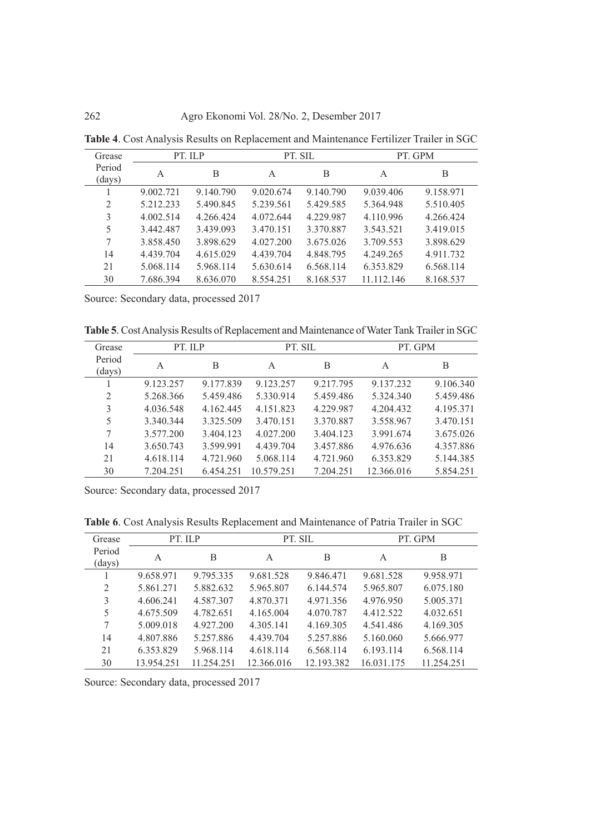| Grease           |           | PT. ILP   |           | PT. SIL   |            | PT. GPM   |
|------------------|-----------|-----------|-----------|-----------|------------|-----------|
| Period<br>(days) | A         | B         | A         | B         | A          | B         |
|                  | 9.002.721 | 9.140.790 | 9.020.674 | 9.140.790 | 9.039.406  | 9.158.971 |
| 2                | 5.212.233 | 5.490.845 | 5.239.561 | 5.429.585 | 5.364.948  | 5.510.405 |
| 3                | 4.002.514 | 4.266.424 | 4.072.644 | 4.229.987 | 4.110.996  | 4.266.424 |
| 5                | 3.442.487 | 3.439.093 | 3.470.151 | 3.370.887 | 3.543.521  | 3.419.015 |
| 7                | 3.858.450 | 3.898.629 | 4.027.200 | 3.675.026 | 3.709.553  | 3.898.629 |
| 14               | 4.439.704 | 4.615.029 | 4.439.704 | 4.848.795 | 4.249.265  | 4.911.732 |
| 21               | 5.068.114 | 5.968.114 | 5.630.614 | 6.568.114 | 6.353.829  | 6.568.114 |
| 30               | 7.686.394 | 8.636.070 | 8.554.251 | 8.168.537 | 11 112 146 | 8.168.537 |

**Table 4**. Cost Analysis Results on Replacement and Maintenance Fertilizer Trailer in SGC

**Table 5**. Cost Analysis Results of Replacement and Maintenance of Water Tank Trailer in SGC

| Grease           | PT. ILP   |           | PT. SIL    |           | PT. GPM    |           |  |
|------------------|-----------|-----------|------------|-----------|------------|-----------|--|
| Period<br>(days) | A         | B         | A          | B         | A          | B         |  |
|                  | 9.123.257 | 9.177.839 | 9.123.257  | 9.217.795 | 9.137.232  | 9.106.340 |  |
| $\overline{2}$   | 5.268.366 | 5.459.486 | 5.330.914  | 5.459.486 | 5.324.340  | 5.459.486 |  |
| 3                | 4.036.548 | 4.162.445 | 4.151.823  | 4.229.987 | 4.204.432  | 4.195.371 |  |
| 5                | 3.340.344 | 3.325.509 | 3.470.151  | 3.370.887 | 3.558.967  | 3.470.151 |  |
| 7                | 3.577.200 | 3.404.123 | 4.027.200  | 3.404.123 | 3.991.674  | 3.675.026 |  |
| 14               | 3.650.743 | 3.599.991 | 4.439.704  | 3.457.886 | 4.976.636  | 4.357.886 |  |
| 21               | 4.618.114 | 4.721.960 | 5.068.114  | 4.721.960 | 6.353.829  | 5.144.385 |  |
| 30               | 7.204.251 | 6.454.251 | 10.579.251 | 7.204.251 | 12.366.016 | 5.854.251 |  |

Source: Secondary data, processed 2017

**Table 6**. Cost Analysis Results Replacement and Maintenance of Patria Trailer in SGC

| Grease | PT. ILP    |            |            | PT. SIL    | PT. GPM    |            |  |
|--------|------------|------------|------------|------------|------------|------------|--|
| Period | A          | B          | A          | B          | A          | B          |  |
| (days) |            |            |            |            |            |            |  |
|        | 9.658.971  | 9.795.335  | 9.681.528  | 9.846.471  | 9.681.528  | 9.958.971  |  |
| 2      | 5.861.271  | 5.882.632  | 5.965.807  | 6.144.574  | 5.965.807  | 6.075.180  |  |
| 3      | 4.606.241  | 4.587.307  | 4.870.371  | 4.971.356  | 4.976.950  | 5.005.371  |  |
| 5      | 4.675.509  | 4.782.651  | 4.165.004  | 4.070.787  | 4.412.522  | 4.032.651  |  |
| 7      | 5.009.018  | 4.927.200  | 4.305.141  | 4.169.305  | 4.541.486  | 4.169.305  |  |
| 14     | 4.807.886  | 5.257.886  | 4.439.704  | 5.257.886  | 5.160.060  | 5.666.977  |  |
| 21     | 6.353.829  | 5.968.114  | 4.618.114  | 6.568.114  | 6.193.114  | 6.568.114  |  |
| 30     | 13.954.251 | 11.254.251 | 12.366.016 | 12.193.382 | 16.031.175 | 11.254.251 |  |

Source: Secondary data, processed 2017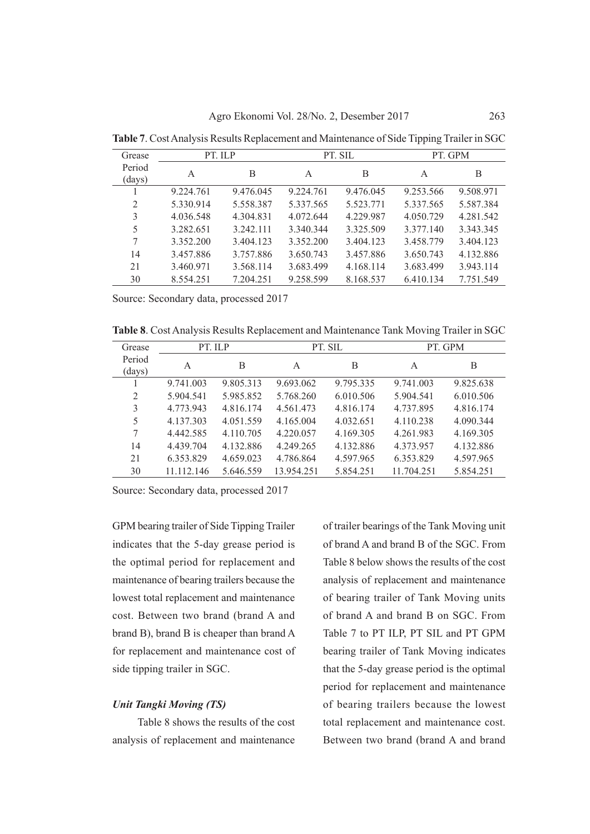| Grease           | PT. ILP   |           |           | PT. SIL   | PT. GPM   |           |  |
|------------------|-----------|-----------|-----------|-----------|-----------|-----------|--|
| Period<br>(days) | A         | B         | A         | B         | A         | B         |  |
|                  | 9.224.761 | 9.476.045 | 9.224.761 | 9.476.045 | 9.253.566 | 9.508.971 |  |
| 2                | 5.330.914 | 5.558.387 | 5.337.565 | 5.523.771 | 5.337.565 | 5.587.384 |  |
| 3                | 4.036.548 | 4.304.831 | 4.072.644 | 4.229.987 | 4.050.729 | 4.281.542 |  |
| 5                | 3.282.651 | 3.242.111 | 3.340.344 | 3.325.509 | 3.377.140 | 3.343.345 |  |
| 7                | 3.352.200 | 3.404.123 | 3 352 200 | 3.404.123 | 3.458.779 | 3.404.123 |  |
| 14               | 3.457.886 | 3.757.886 | 3.650.743 | 3.457.886 | 3.650.743 | 4.132.886 |  |
| 21               | 3.460.971 | 3.568.114 | 3.683.499 | 4.168.114 | 3.683.499 | 3.943.114 |  |
| 30               | 8.554.251 | 7.204.251 | 9.258.599 | 8.168.537 | 6.410.134 | 7.751.549 |  |

**Table 7**. Cost Analysis Results Replacement and Maintenance of Side Tipping Trailer in SGC

**Table 8**. Cost Analysis Results Replacement and Maintenance Tank Moving Trailer in SGC

| Grease           | PT. ILP    |           |            | PT. SIL   |            | PT. GPM   |  |  |
|------------------|------------|-----------|------------|-----------|------------|-----------|--|--|
| Period<br>(days) | A          | B         | A          | В         | A          | B         |  |  |
|                  | 9.741.003  | 9.805.313 | 9.693.062  | 9.795.335 | 9.741.003  | 9.825.638 |  |  |
| $\overline{2}$   | 5.904.541  | 5.985.852 | 5.768.260  | 6.010.506 | 5.904.541  | 6.010.506 |  |  |
| 3                | 4.773.943  | 4.816.174 | 4.561.473  | 4.816.174 | 4.737.895  | 4.816.174 |  |  |
| 5                | 4.137.303  | 4.051.559 | 4.165.004  | 4.032.651 | 4.110.238  | 4.090.344 |  |  |
| 7                | 4.442.585  | 4.110.705 | 4.220.057  | 4.169.305 | 4.261.983  | 4.169.305 |  |  |
| 14               | 4.439.704  | 4.132.886 | 4.249.265  | 4.132.886 | 4.373.957  | 4.132.886 |  |  |
| 21               | 6.353.829  | 4.659.023 | 4.786.864  | 4.597.965 | 6.353.829  | 4.597.965 |  |  |
| 30               | 11.112.146 | 5.646.559 | 13.954.251 | 5.854.251 | 11.704.251 | 5.854.251 |  |  |

Source: Secondary data, processed 2017

GPM bearing trailer of Side Tipping Trailer indicates that the 5-day grease period is the optimal period for replacement and maintenance of bearing trailers because the lowest total replacement and maintenance cost. Between two brand (brand A and brand B), brand B is cheaper than brand A for replacement and maintenance cost of side tipping trailer in SGC.

#### *Unit Tangki Moving (TS)*

Table 8 shows the results of the cost analysis of replacement and maintenance

of trailer bearings of the Tank Moving unit of brand A and brand B of the SGC. From Table 8 below shows the results of the cost analysis of replacement and maintenance of bearing trailer of Tank Moving units of brand A and brand B on SGC. From Table 7 to PT ILP, PT SIL and PT GPM bearing trailer of Tank Moving indicates that the 5-day grease period is the optimal period for replacement and maintenance of bearing trailers because the lowest total replacement and maintenance cost. Between two brand (brand A and brand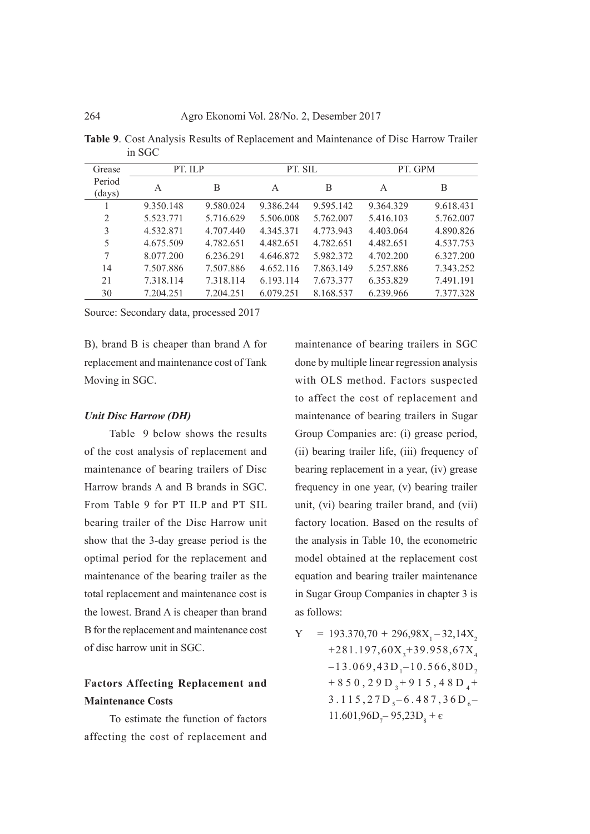**Table 9**. Cost Analysis Results of Replacement and Maintenance of Disc Harrow Trailer in SGC

| Grease           | PT. ILP   |           | PT. SIL   |           | PT. GPM   |           |  |
|------------------|-----------|-----------|-----------|-----------|-----------|-----------|--|
| Period<br>(days) | A         | B         | A         | B         | A         | B         |  |
|                  | 9.350.148 | 9.580.024 | 9.386.244 | 9.595.142 | 9.364.329 | 9.618.431 |  |
| $\overline{2}$   | 5.523.771 | 5.716.629 | 5.506.008 | 5.762.007 | 5.416.103 | 5.762.007 |  |
| 3                | 4.532.871 | 4.707.440 | 4.345.371 | 4.773.943 | 4.403.064 | 4.890.826 |  |
| 5                | 4.675.509 | 4.782.651 | 4.482.651 | 4.782.651 | 4.482.651 | 4.537.753 |  |
| 7                | 8.077.200 | 6.236.291 | 4.646.872 | 5.982.372 | 4.702.200 | 6.327.200 |  |
| 14               | 7.507.886 | 7.507.886 | 4.652.116 | 7.863.149 | 5.257.886 | 7.343.252 |  |
| 21               | 7.318.114 | 7.318.114 | 6.193.114 | 7.673.377 | 6.353.829 | 7.491.191 |  |
| 30               | 7.204.251 | 7.204.251 | 6.079.251 | 8.168.537 | 6.239.966 | 7.377.328 |  |

B), brand B is cheaper than brand A for replacement and maintenance cost of Tank Moving in SGC.

#### *Unit Disc Harrow (DH)*

Table 9 below shows the results of the cost analysis of replacement and maintenance of bearing trailers of Disc Harrow brands A and B brands in SGC. From Table 9 for PT ILP and PT SIL bearing trailer of the Disc Harrow unit show that the 3-day grease period is the optimal period for the replacement and maintenance of the bearing trailer as the total replacement and maintenance cost is the lowest. Brand A is cheaper than brand B for the replacement and maintenance cost of disc harrow unit in SGC.

# **Factors Affecting Replacement and Maintenance Costs**

To estimate the function of factors affecting the cost of replacement and

maintenance of bearing trailers in SGC done by multiple linear regression analysis with OLS method. Factors suspected to affect the cost of replacement and maintenance of bearing trailers in Sugar Group Companies are: (i) grease period, (ii) bearing trailer life, (iii) frequency of bearing replacement in a year, (iv) grease frequency in one year, (v) bearing trailer unit, (vi) bearing trailer brand, and (vii) factory location. Based on the results of the analysis in Table 10, the econometric model obtained at the replacement cost equation and bearing trailer maintenance in Sugar Group Companies in chapter 3 is as follows:

Y = 193.370,70 + 296,98X<sub>1</sub>-32,14X<sub>2</sub>  
+281.197,60X<sub>3</sub>+39.958,67X<sub>4</sub>  
-13.069,43D<sub>1</sub>-10.566,80D<sub>2</sub>  
+850,29D<sub>3</sub>+915,48D<sub>4</sub>+  
3.115,27D<sub>5</sub>-6.487,36D<sub>6</sub>-  
11.601,96D<sub>7</sub>-95,23D<sub>8</sub>+
$$
\epsilon
$$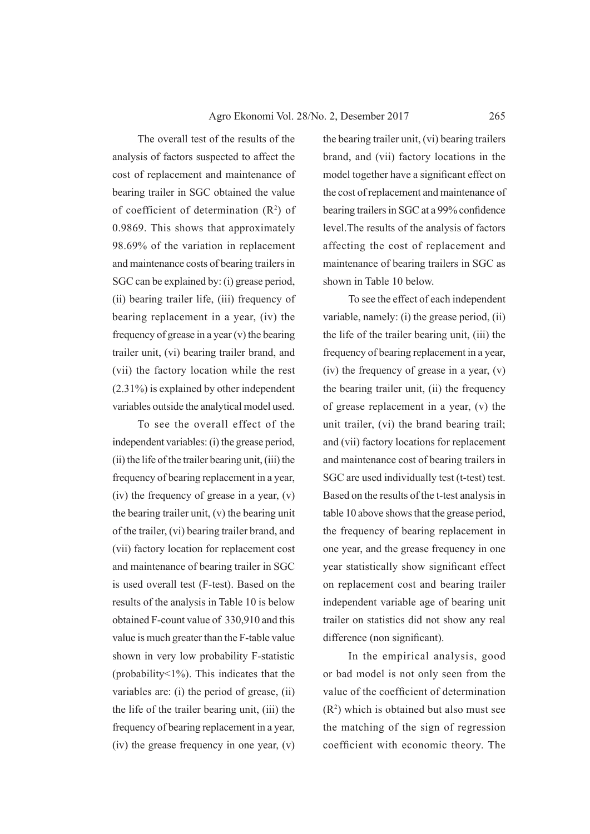The overall test of the results of the analysis of factors suspected to affect the cost of replacement and maintenance of bearing trailer in SGC obtained the value of coefficient of determination  $(R^2)$  of 0.9869. This shows that approximately 98.69% of the variation in replacement and maintenance costs of bearing trailers in SGC can be explained by: (i) grease period, (ii) bearing trailer life, (iii) frequency of bearing replacement in a year, (iv) the frequency of grease in a year (v) the bearing trailer unit, (vi) bearing trailer brand, and (vii) the factory location while the rest (2.31%) is explained by other independent variables outside the analytical model used.

To see the overall effect of the independent variables: (i) the grease period, (ii) the life of the trailer bearing unit, (iii) the frequency of bearing replacement in a year, (iv) the frequency of grease in a year, (v) the bearing trailer unit, (v) the bearing unit of the trailer, (vi) bearing trailer brand, and (vii) factory location for replacement cost and maintenance of bearing trailer in SGC is used overall test (F-test). Based on the results of the analysis in Table 10 is below obtained F-count value of 330,910 and this value is much greater than the F-table value shown in very low probability F-statistic (probability<1%). This indicates that the variables are: (i) the period of grease, (ii) the life of the trailer bearing unit, (iii) the frequency of bearing replacement in a year, (iv) the grease frequency in one year, (v)

the bearing trailer unit, (vi) bearing trailers brand, and (vii) factory locations in the model together have a significant effect on the cost of replacement and maintenance of bearing trailers in SGC at a 99% confidence level.The results of the analysis of factors affecting the cost of replacement and maintenance of bearing trailers in SGC as shown in Table 10 below.

To see the effect of each independent variable, namely: (i) the grease period, (ii) the life of the trailer bearing unit, (iii) the frequency of bearing replacement in a year, (iv) the frequency of grease in a year, (v) the bearing trailer unit, (ii) the frequency of grease replacement in a year, (v) the unit trailer, (vi) the brand bearing trail; and (vii) factory locations for replacement and maintenance cost of bearing trailers in SGC are used individually test (t-test) test. Based on the results of the t-test analysis in table 10 above shows that the grease period, the frequency of bearing replacement in one year, and the grease frequency in one year statistically show significant effect on replacement cost and bearing trailer independent variable age of bearing unit trailer on statistics did not show any real difference (non significant).

In the empirical analysis, good or bad model is not only seen from the value of the coefficient of determination  $(R<sup>2</sup>)$  which is obtained but also must see the matching of the sign of regression coefficient with economic theory. The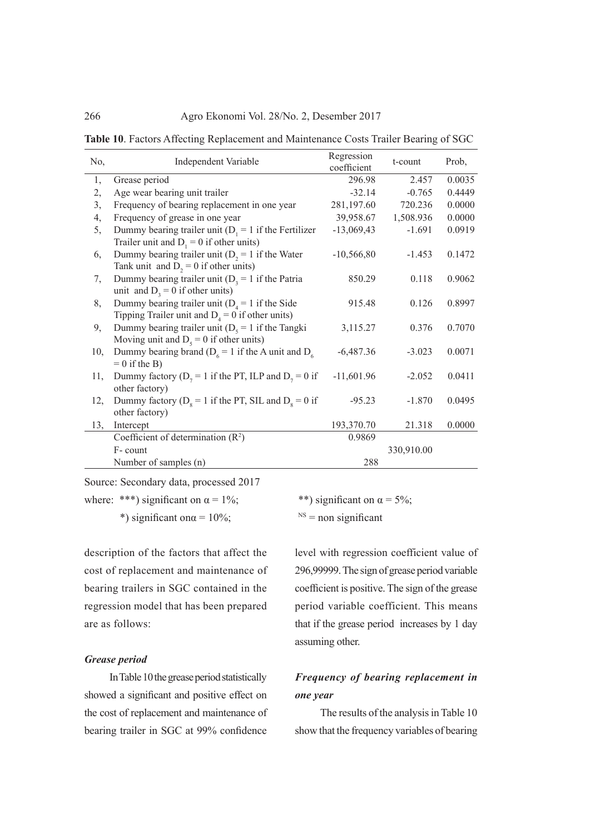**Table 10**. Factors Affecting Replacement and Maintenance Costs Trailer Bearing of SGC

| No, | <b>Independent Variable</b>                                                                              | Regression<br>coefficient | t-count    | Prob,  |
|-----|----------------------------------------------------------------------------------------------------------|---------------------------|------------|--------|
| 1,  | Grease period                                                                                            | 296.98                    | 2.457      | 0.0035 |
| 2,  | Age wear bearing unit trailer                                                                            | $-32.14$                  | $-0.765$   | 0.4449 |
| 3,  | Frequency of bearing replacement in one year                                                             | 281,197.60                | 720.236    | 0.0000 |
| 4,  | Frequency of grease in one year                                                                          | 39,958.67                 | 1,508.936  | 0.0000 |
| 5,  | Dummy bearing trailer unit ( $D_1 = 1$ if the Fertilizer<br>Trailer unit and $D_1 = 0$ if other units)   | $-13,069,43$              | $-1.691$   | 0.0919 |
| 6,  | Dummy bearing trailer unit ( $D_2 = 1$ if the Water<br>Tank unit and $D_2 = 0$ if other units)           | $-10,566,80$              | $-1.453$   | 0.1472 |
| 7,  | Dummy bearing trailer unit ( $D_3 = 1$ if the Patria<br>unit and $D_3 = 0$ if other units)               | 850.29                    | 0.118      | 0.9062 |
| 8,  | Dummy bearing trailer unit ( $D_4 = 1$ if the Side<br>Tipping Trailer unit and $D_4 = 0$ if other units) | 915.48                    | 0.126      | 0.8997 |
| 9,  | Dummy bearing trailer unit ( $Ds = 1$ if the Tangki<br>Moving unit and $D_s = 0$ if other units)         | 3,115.27                  | 0.376      | 0.7070 |
| 10, | Dummy bearing brand ( $D_6 = 1$ if the A unit and $D_6$<br>$= 0$ if the B)                               | $-6,487.36$               | $-3.023$   | 0.0071 |
| 11, | Dummy factory ( $D_7 = 1$ if the PT, ILP and $D_7 = 0$ if<br>other factory)                              | $-11,601.96$              | $-2.052$   | 0.0411 |
| 12, | Dummy factory ( $D_s = 1$ if the PT, SIL and $D_s = 0$ if<br>other factory)                              | $-95.23$                  | $-1.870$   | 0.0495 |
| 13, | Intercept                                                                                                | 193,370.70                | 21.318     | 0.0000 |
|     | Coefficient of determination $(R^2)$                                                                     | 0.9869                    |            |        |
|     | F-count                                                                                                  |                           | 330,910.00 |        |
|     | Number of samples (n)                                                                                    | 288                       |            |        |

where: \*\*\*) significant on  $\alpha = 1\%$ ; \*\*) significant on  $\alpha = 5\%$ ;

\*) significant on $\alpha = 10\%$ ; NS = non significant

description of the factors that affect the cost of replacement and maintenance of bearing trailers in SGC contained in the regression model that has been prepared are as follows:

## *Grease period*

In Table 10 the grease period statistically showed a significant and positive effect on the cost of replacement and maintenance of bearing trailer in SGC at 99% confidence

level with regression coefficient value of 296,99999. The sign of grease period variable coefficient is positive. The sign of the grease period variable coefficient. This means that if the grease period increases by 1 day assuming other.

# *Frequency of bearing replacement in one year*

The results of the analysis in Table 10 show that the frequency variables of bearing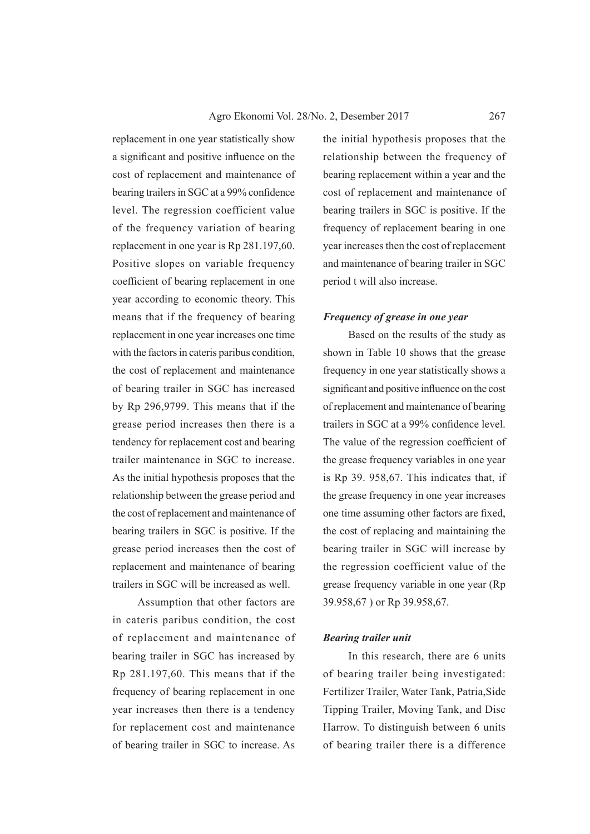replacement in one year statistically show a significant and positive influence on the cost of replacement and maintenance of bearing trailers in SGC at a 99% confidence level. The regression coefficient value of the frequency variation of bearing replacement in one year is Rp 281.197,60. Positive slopes on variable frequency coefficient of bearing replacement in one year according to economic theory. This means that if the frequency of bearing replacement in one year increases one time with the factors in cateris paribus condition, the cost of replacement and maintenance of bearing trailer in SGC has increased by Rp 296,9799. This means that if the grease period increases then there is a tendency for replacement cost and bearing trailer maintenance in SGC to increase. As the initial hypothesis proposes that the relationship between the grease period and the cost of replacement and maintenance of bearing trailers in SGC is positive. If the grease period increases then the cost of replacement and maintenance of bearing trailers in SGC will be increased as well.

Assumption that other factors are in cateris paribus condition, the cost of replacement and maintenance of bearing trailer in SGC has increased by Rp 281.197,60. This means that if the frequency of bearing replacement in one year increases then there is a tendency for replacement cost and maintenance of bearing trailer in SGC to increase. As

the initial hypothesis proposes that the relationship between the frequency of bearing replacement within a year and the cost of replacement and maintenance of bearing trailers in SGC is positive. If the frequency of replacement bearing in one year increases then the cost of replacement and maintenance of bearing trailer in SGC period t will also increase.

#### *Frequency of grease in one year*

Based on the results of the study as shown in Table 10 shows that the grease frequency in one year statistically shows a significant and positive influence on the cost of replacement and maintenance of bearing trailers in SGC at a 99% confidence level. The value of the regression coefficient of the grease frequency variables in one year is Rp 39. 958,67. This indicates that, if the grease frequency in one year increases one time assuming other factors are fixed, the cost of replacing and maintaining the bearing trailer in SGC will increase by the regression coefficient value of the grease frequency variable in one year (Rp 39.958,67 ) or Rp 39.958,67.

#### *Bearing trailer unit*

In this research, there are 6 units of bearing trailer being investigated: Fertilizer Trailer, Water Tank, Patria,Side Tipping Trailer, Moving Tank, and Disc Harrow. To distinguish between 6 units of bearing trailer there is a difference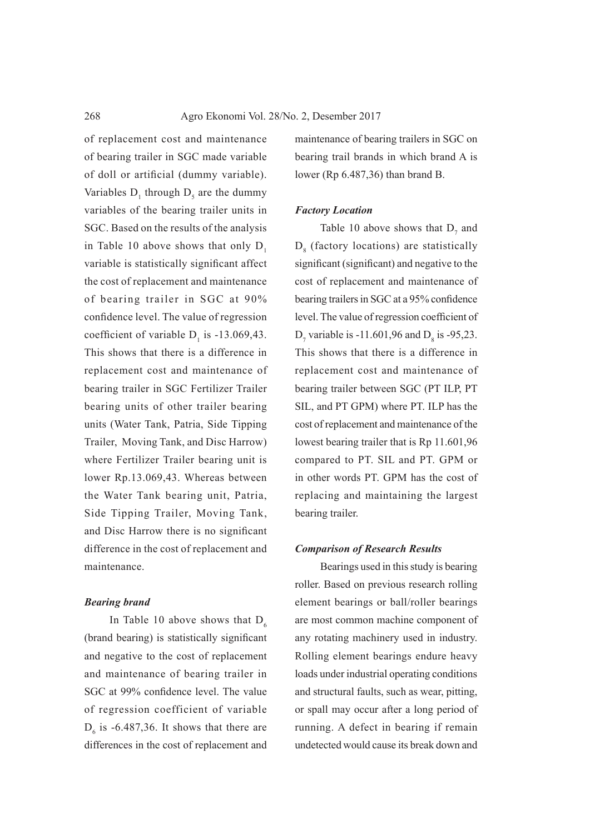of replacement cost and maintenance of bearing trailer in SGC made variable of doll or artificial (dummy variable). Variables  $D_1$  through  $D_5$  are the dummy variables of the bearing trailer units in SGC. Based on the results of the analysis in Table 10 above shows that only  $D_1$ variable is statistically significant affect the cost of replacement and maintenance of bearing trailer in SGC at 90% confidence level. The value of regression coefficient of variable  $D_1$  is -13.069,43. This shows that there is a difference in replacement cost and maintenance of bearing trailer in SGC Fertilizer Trailer bearing units of other trailer bearing units (Water Tank, Patria, Side Tipping Trailer, Moving Tank, and Disc Harrow) where Fertilizer Trailer bearing unit is lower Rp.13.069,43. Whereas between the Water Tank bearing unit, Patria, Side Tipping Trailer, Moving Tank, and Disc Harrow there is no significant difference in the cost of replacement and maintenance.

#### *Bearing brand*

In Table 10 above shows that  $D_6$ (brand bearing) is statistically significant and negative to the cost of replacement and maintenance of bearing trailer in SGC at 99% confidence level. The value of regression coefficient of variable  $D_6$  is -6.487,36. It shows that there are differences in the cost of replacement and

maintenance of bearing trailers in SGC on bearing trail brands in which brand A is lower (Rp 6.487,36) than brand B.

#### *Factory Location*

Table 10 above shows that  $D_7$  and  $D_8$  (factory locations) are statistically significant (significant) and negative to the cost of replacement and maintenance of bearing trailers in SGC at a 95% confidence level. The value of regression coefficient of  $D_7$  variable is -11.601,96 and  $D_8$  is -95,23. This shows that there is a difference in replacement cost and maintenance of bearing trailer between SGC (PT ILP, PT SIL, and PT GPM) where PT. ILP has the cost of replacement and maintenance of the lowest bearing trailer that is Rp 11.601,96 compared to PT. SIL and PT. GPM or in other words PT. GPM has the cost of replacing and maintaining the largest bearing trailer.

#### *Comparison of Research Results*

Bearings used in this study is bearing roller. Based on previous research rolling element bearings or ball/roller bearings are most common machine component of any rotating machinery used in industry. Rolling element bearings endure heavy loads under industrial operating conditions and structural faults, such as wear, pitting, or spall may occur after a long period of running. A defect in bearing if remain undetected would cause its break down and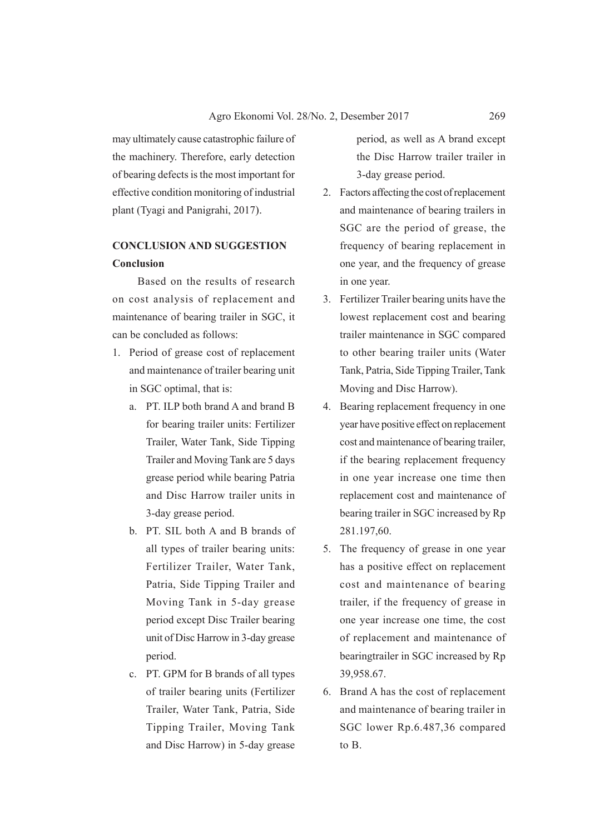may ultimately cause catastrophic failure of the machinery. Therefore, early detection of bearing defects is the most important for effective condition monitoring of industrial plant (Tyagi and Panigrahi, 2017).

# **CONCLUSION AND SUGGESTION Conclusion**

Based on the results of research on cost analysis of replacement and maintenance of bearing trailer in SGC, it can be concluded as follows:

- 1. Period of grease cost of replacement and maintenance of trailer bearing unit in SGC optimal, that is:
	- a. PT. ILP both brand A and brand B for bearing trailer units: Fertilizer Trailer, Water Tank, Side Tipping Trailer and Moving Tank are 5 days grease period while bearing Patria and Disc Harrow trailer units in 3-day grease period.
	- b. PT. SIL both A and B brands of all types of trailer bearing units: Fertilizer Trailer, Water Tank, Patria, Side Tipping Trailer and Moving Tank in 5-day grease period except Disc Trailer bearing unit of Disc Harrow in 3-day grease period.
	- c. PT. GPM for B brands of all types of trailer bearing units (Fertilizer Trailer, Water Tank, Patria, Side Tipping Trailer, Moving Tank and Disc Harrow) in 5-day grease

period, as well as A brand except the Disc Harrow trailer trailer in 3-day grease period.

- 2. Factors affecting the cost of replacement and maintenance of bearing trailers in SGC are the period of grease, the frequency of bearing replacement in one year, and the frequency of grease in one year.
- 3. Fertilizer Trailer bearing units have the lowest replacement cost and bearing trailer maintenance in SGC compared to other bearing trailer units (Water Tank, Patria, Side Tipping Trailer, Tank Moving and Disc Harrow).
- 4. Bearing replacement frequency in one year have positive effect on replacement cost and maintenance of bearing trailer, if the bearing replacement frequency in one year increase one time then replacement cost and maintenance of bearing trailer in SGC increased by Rp 281.197,60.
- 5. The frequency of grease in one year has a positive effect on replacement cost and maintenance of bearing trailer, if the frequency of grease in one year increase one time, the cost of replacement and maintenance of bearingtrailer in SGC increased by Rp 39,958.67.
- 6. Brand A has the cost of replacement and maintenance of bearing trailer in SGC lower Rp.6.487,36 compared to B.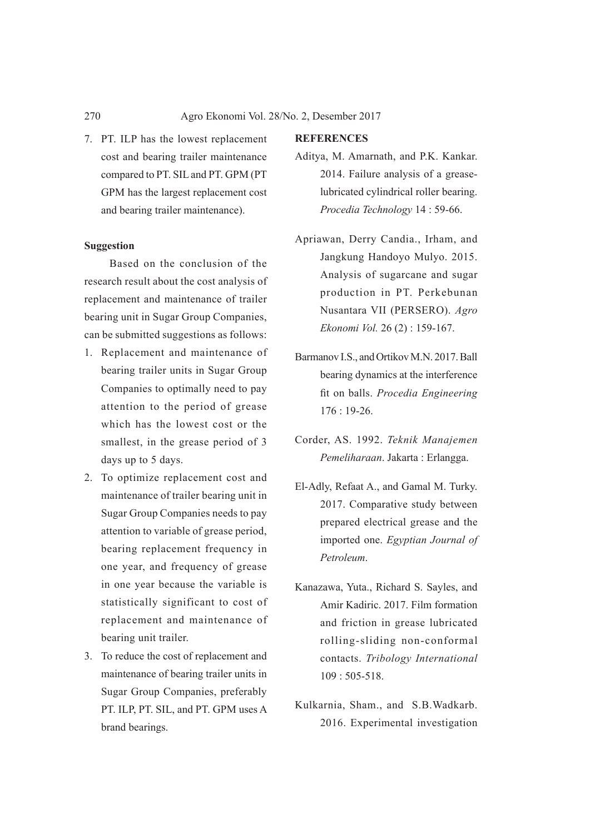7. PT. ILP has the lowest replacement cost and bearing trailer maintenance compared to PT. SIL and PT. GPM (PT GPM has the largest replacement cost and bearing trailer maintenance).

## **Suggestion**

Based on the conclusion of the research result about the cost analysis of replacement and maintenance of trailer bearing unit in Sugar Group Companies, can be submitted suggestions as follows:

- 1. Replacement and maintenance of bearing trailer units in Sugar Group Companies to optimally need to pay attention to the period of grease which has the lowest cost or the smallest, in the grease period of 3 days up to 5 days.
- 2. To optimize replacement cost and maintenance of trailer bearing unit in Sugar Group Companies needs to pay attention to variable of grease period, bearing replacement frequency in one year, and frequency of grease in one year because the variable is statistically significant to cost of replacement and maintenance of bearing unit trailer.
- 3. To reduce the cost of replacement and maintenance of bearing trailer units in Sugar Group Companies, preferably PT. ILP, PT. SIL, and PT. GPM uses A brand bearings.

# **REFERENCES**

- Aditya, M. Amarnath, and P.K. Kankar. 2014. Failure analysis of a greaselubricated cylindrical roller bearing. *Procedia Technology* 14 : 59-66.
- Apriawan, Derry Candia., Irham, and Jangkung Handoyo Mulyo. 2015. Analysis of sugarcane and sugar production in PT. Perkebunan Nusantara VII (PERSERO). *Agro Ekonomi Vol.* 26 (2) : 159-167.
- Barmanov I.S., and Ortikov M.N. 2017. Ball bearing dynamics at the interference fit on balls. *Procedia Engineering* 176 : 19-26.
- Corder, AS. 1992. *Teknik Manajemen Pemeliharaan*. Jakarta : Erlangga.
- El-Adly, Refaat A., and Gamal M. Turky. 2017. Comparative study between prepared electrical grease and the imported one. *Egyptian Journal of Petroleum*.
- Kanazawa, Yuta., Richard S. Sayles, and Amir Kadiric. 2017. Film formation and friction in grease lubricated rolling-sliding non-conformal contacts. *Tribology International*  $109 \cdot 505 - 518$
- Kulkarnia, Sham., and S.B.Wadkarb. 2016. Experimental investigation